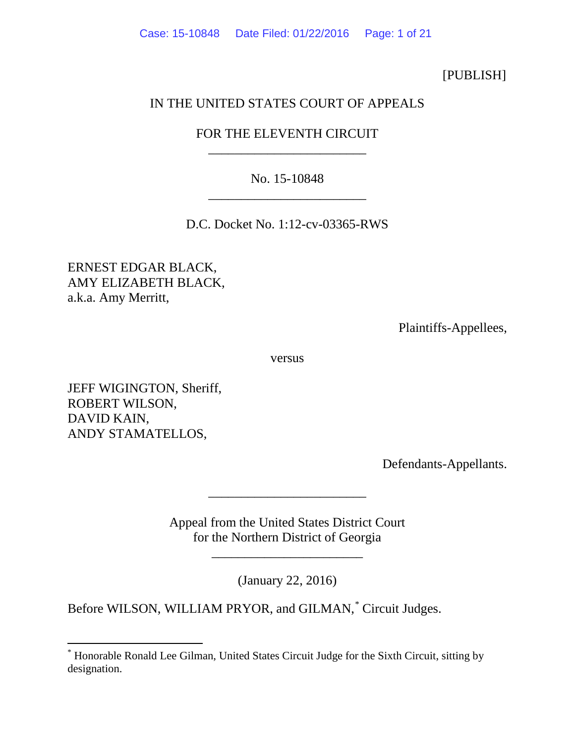### [PUBLISH]

### IN THE UNITED STATES COURT OF APPEALS

# FOR THE ELEVENTH CIRCUIT \_\_\_\_\_\_\_\_\_\_\_\_\_\_\_\_\_\_\_\_\_\_\_\_

# No. 15-10848 \_\_\_\_\_\_\_\_\_\_\_\_\_\_\_\_\_\_\_\_\_\_\_\_

D.C. Docket No. 1:12-cv-03365-RWS

ERNEST EDGAR BLACK, AMY ELIZABETH BLACK, a.k.a. Amy Merritt,

Plaintiffs-Appellees,

versus

JEFF WIGINGTON, Sheriff, ROBERT WILSON, DAVID KAIN, ANDY STAMATELLOS,

Defendants-Appellants.

Appeal from the United States District Court for the Northern District of Georgia

\_\_\_\_\_\_\_\_\_\_\_\_\_\_\_\_\_\_\_\_\_\_\_\_

(January 22, 2016)

\_\_\_\_\_\_\_\_\_\_\_\_\_\_\_\_\_\_\_\_\_\_\_

Before WILSON, WILLIAM PRYOR, and GILMAN, [\\*](#page-0-0) Circuit Judges.

<span id="page-0-0"></span> <sup>\*</sup> Honorable Ronald Lee Gilman, United States Circuit Judge for the Sixth Circuit, sitting by designation.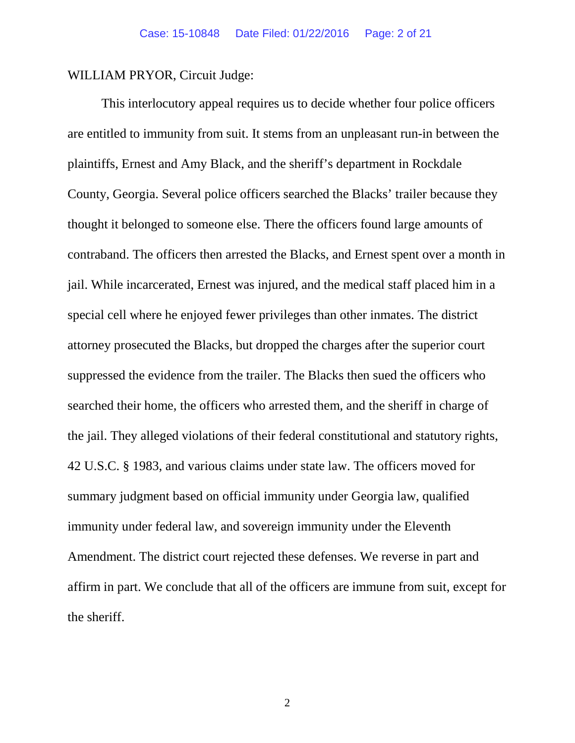WILLIAM PRYOR, Circuit Judge:

This interlocutory appeal requires us to decide whether four police officers are entitled to immunity from suit. It stems from an unpleasant run-in between the plaintiffs, Ernest and Amy Black, and the sheriff's department in Rockdale County, Georgia. Several police officers searched the Blacks' trailer because they thought it belonged to someone else. There the officers found large amounts of contraband. The officers then arrested the Blacks, and Ernest spent over a month in jail. While incarcerated, Ernest was injured, and the medical staff placed him in a special cell where he enjoyed fewer privileges than other inmates. The district attorney prosecuted the Blacks, but dropped the charges after the superior court suppressed the evidence from the trailer. The Blacks then sued the officers who searched their home, the officers who arrested them, and the sheriff in charge of the jail. They alleged violations of their federal constitutional and statutory rights, 42 U.S.C. § 1983, and various claims under state law. The officers moved for summary judgment based on official immunity under Georgia law, qualified immunity under federal law, and sovereign immunity under the Eleventh Amendment. The district court rejected these defenses. We reverse in part and affirm in part. We conclude that all of the officers are immune from suit, except for the sheriff.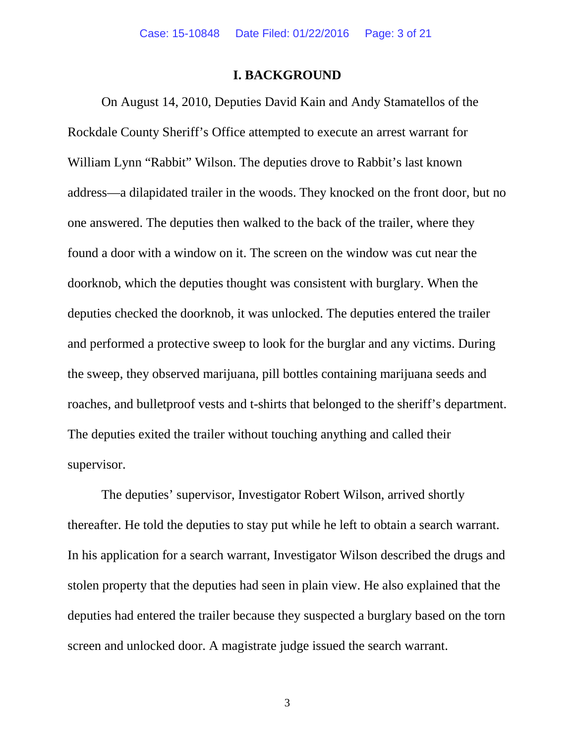#### **I. BACKGROUND**

On August 14, 2010, Deputies David Kain and Andy Stamatellos of the Rockdale County Sheriff's Office attempted to execute an arrest warrant for William Lynn "Rabbit" Wilson. The deputies drove to Rabbit's last known address—a dilapidated trailer in the woods. They knocked on the front door, but no one answered. The deputies then walked to the back of the trailer, where they found a door with a window on it. The screen on the window was cut near the doorknob, which the deputies thought was consistent with burglary. When the deputies checked the doorknob, it was unlocked. The deputies entered the trailer and performed a protective sweep to look for the burglar and any victims. During the sweep, they observed marijuana, pill bottles containing marijuana seeds and roaches, and bulletproof vests and t-shirts that belonged to the sheriff's department. The deputies exited the trailer without touching anything and called their supervisor.

The deputies' supervisor, Investigator Robert Wilson, arrived shortly thereafter. He told the deputies to stay put while he left to obtain a search warrant. In his application for a search warrant, Investigator Wilson described the drugs and stolen property that the deputies had seen in plain view. He also explained that the deputies had entered the trailer because they suspected a burglary based on the torn screen and unlocked door. A magistrate judge issued the search warrant.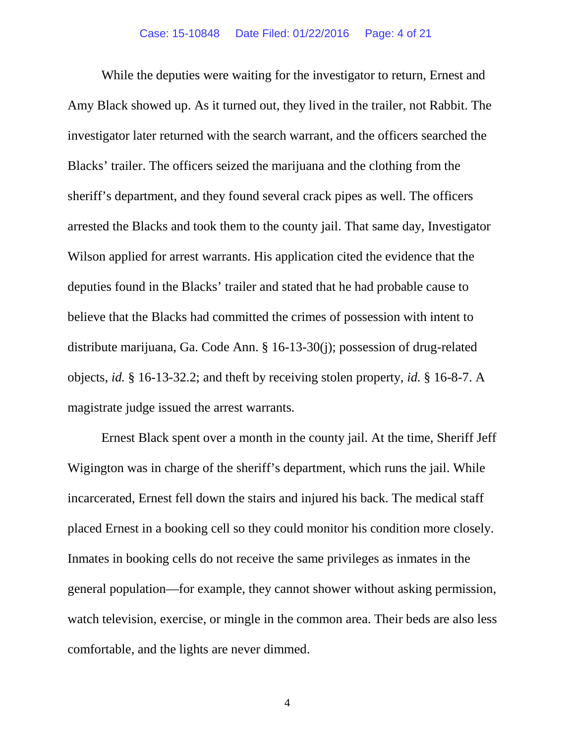While the deputies were waiting for the investigator to return, Ernest and Amy Black showed up. As it turned out, they lived in the trailer, not Rabbit. The investigator later returned with the search warrant, and the officers searched the Blacks' trailer. The officers seized the marijuana and the clothing from the sheriff's department, and they found several crack pipes as well. The officers arrested the Blacks and took them to the county jail. That same day, Investigator Wilson applied for arrest warrants. His application cited the evidence that the deputies found in the Blacks' trailer and stated that he had probable cause to believe that the Blacks had committed the crimes of possession with intent to distribute marijuana, Ga. Code Ann. § 16-13-30(j); possession of drug-related objects, *id.* § 16-13-32.2; and theft by receiving stolen property, *id.* § 16-8-7. A magistrate judge issued the arrest warrants.

Ernest Black spent over a month in the county jail. At the time, Sheriff Jeff Wigington was in charge of the sheriff's department, which runs the jail. While incarcerated, Ernest fell down the stairs and injured his back. The medical staff placed Ernest in a booking cell so they could monitor his condition more closely. Inmates in booking cells do not receive the same privileges as inmates in the general population—for example, they cannot shower without asking permission, watch television, exercise, or mingle in the common area. Their beds are also less comfortable, and the lights are never dimmed.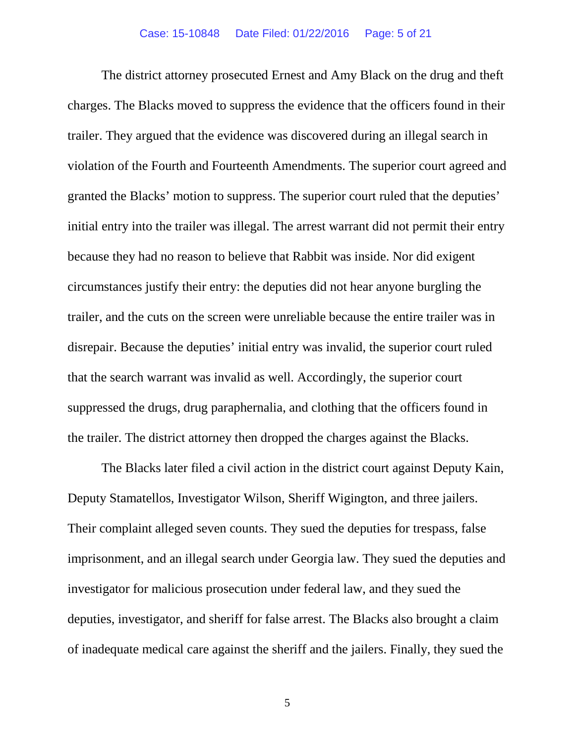The district attorney prosecuted Ernest and Amy Black on the drug and theft charges. The Blacks moved to suppress the evidence that the officers found in their trailer. They argued that the evidence was discovered during an illegal search in violation of the Fourth and Fourteenth Amendments. The superior court agreed and granted the Blacks' motion to suppress. The superior court ruled that the deputies' initial entry into the trailer was illegal. The arrest warrant did not permit their entry because they had no reason to believe that Rabbit was inside. Nor did exigent circumstances justify their entry: the deputies did not hear anyone burgling the trailer, and the cuts on the screen were unreliable because the entire trailer was in disrepair. Because the deputies' initial entry was invalid, the superior court ruled that the search warrant was invalid as well. Accordingly, the superior court suppressed the drugs, drug paraphernalia, and clothing that the officers found in the trailer. The district attorney then dropped the charges against the Blacks.

The Blacks later filed a civil action in the district court against Deputy Kain, Deputy Stamatellos, Investigator Wilson, Sheriff Wigington, and three jailers. Their complaint alleged seven counts. They sued the deputies for trespass, false imprisonment, and an illegal search under Georgia law. They sued the deputies and investigator for malicious prosecution under federal law, and they sued the deputies, investigator, and sheriff for false arrest. The Blacks also brought a claim of inadequate medical care against the sheriff and the jailers. Finally, they sued the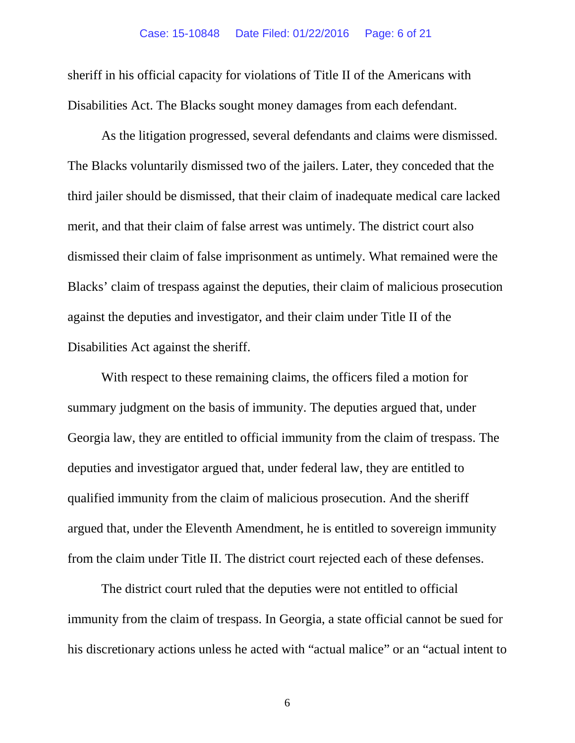sheriff in his official capacity for violations of Title II of the Americans with Disabilities Act. The Blacks sought money damages from each defendant.

As the litigation progressed, several defendants and claims were dismissed. The Blacks voluntarily dismissed two of the jailers. Later, they conceded that the third jailer should be dismissed, that their claim of inadequate medical care lacked merit, and that their claim of false arrest was untimely. The district court also dismissed their claim of false imprisonment as untimely. What remained were the Blacks' claim of trespass against the deputies, their claim of malicious prosecution against the deputies and investigator, and their claim under Title II of the Disabilities Act against the sheriff.

With respect to these remaining claims, the officers filed a motion for summary judgment on the basis of immunity. The deputies argued that, under Georgia law, they are entitled to official immunity from the claim of trespass. The deputies and investigator argued that, under federal law, they are entitled to qualified immunity from the claim of malicious prosecution. And the sheriff argued that, under the Eleventh Amendment, he is entitled to sovereign immunity from the claim under Title II. The district court rejected each of these defenses.

The district court ruled that the deputies were not entitled to official immunity from the claim of trespass. In Georgia, a state official cannot be sued for his discretionary actions unless he acted with "actual malice" or an "actual intent to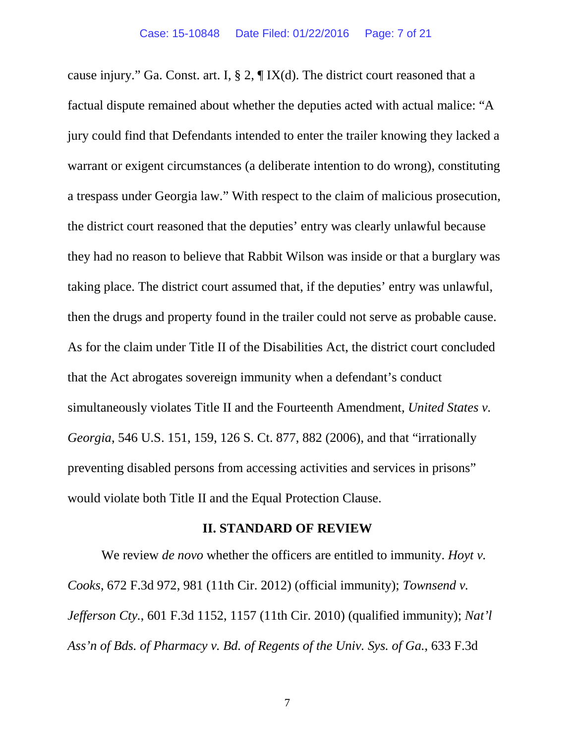cause injury." Ga. Const. art. I,  $\S 2$ ,  $\P IX(d)$ . The district court reasoned that a factual dispute remained about whether the deputies acted with actual malice: "A jury could find that Defendants intended to enter the trailer knowing they lacked a warrant or exigent circumstances (a deliberate intention to do wrong), constituting a trespass under Georgia law." With respect to the claim of malicious prosecution, the district court reasoned that the deputies' entry was clearly unlawful because they had no reason to believe that Rabbit Wilson was inside or that a burglary was taking place. The district court assumed that, if the deputies' entry was unlawful, then the drugs and property found in the trailer could not serve as probable cause. As for the claim under Title II of the Disabilities Act, the district court concluded that the Act abrogates sovereign immunity when a defendant's conduct simultaneously violates Title II and the Fourteenth Amendment, *United States v. Georgia*, 546 U.S. 151, 159, 126 S. Ct. 877, 882 (2006), and that "irrationally preventing disabled persons from accessing activities and services in prisons" would violate both Title II and the Equal Protection Clause.

### **II. STANDARD OF REVIEW**

We review *de novo* whether the officers are entitled to immunity. *Hoyt v. Cooks*, 672 F.3d 972, 981 (11th Cir. 2012) (official immunity); *Townsend v. Jefferson Cty.*, 601 F.3d 1152, 1157 (11th Cir. 2010) (qualified immunity); *Nat'l Ass'n of Bds. of Pharmacy v. Bd. of Regents of the Univ. Sys. of Ga.*, 633 F.3d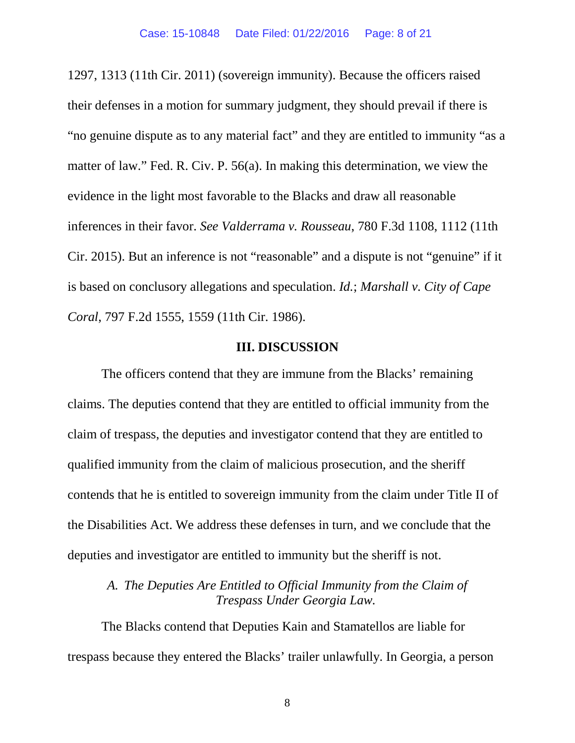1297, 1313 (11th Cir. 2011) (sovereign immunity). Because the officers raised their defenses in a motion for summary judgment, they should prevail if there is "no genuine dispute as to any material fact" and they are entitled to immunity "as a matter of law." Fed. R. Civ. P. 56(a). In making this determination, we view the evidence in the light most favorable to the Blacks and draw all reasonable inferences in their favor. *See Valderrama v. Rousseau*, 780 F.3d 1108, 1112 (11th Cir. 2015). But an inference is not "reasonable" and a dispute is not "genuine" if it is based on conclusory allegations and speculation. *Id.*; *Marshall v. City of Cape Coral*, 797 F.2d 1555, 1559 (11th Cir. 1986).

#### **III. DISCUSSION**

The officers contend that they are immune from the Blacks' remaining claims. The deputies contend that they are entitled to official immunity from the claim of trespass, the deputies and investigator contend that they are entitled to qualified immunity from the claim of malicious prosecution, and the sheriff contends that he is entitled to sovereign immunity from the claim under Title II of the Disabilities Act. We address these defenses in turn, and we conclude that the deputies and investigator are entitled to immunity but the sheriff is not.

### *A. The Deputies Are Entitled to Official Immunity from the Claim of Trespass Under Georgia Law.*

The Blacks contend that Deputies Kain and Stamatellos are liable for trespass because they entered the Blacks' trailer unlawfully. In Georgia, a person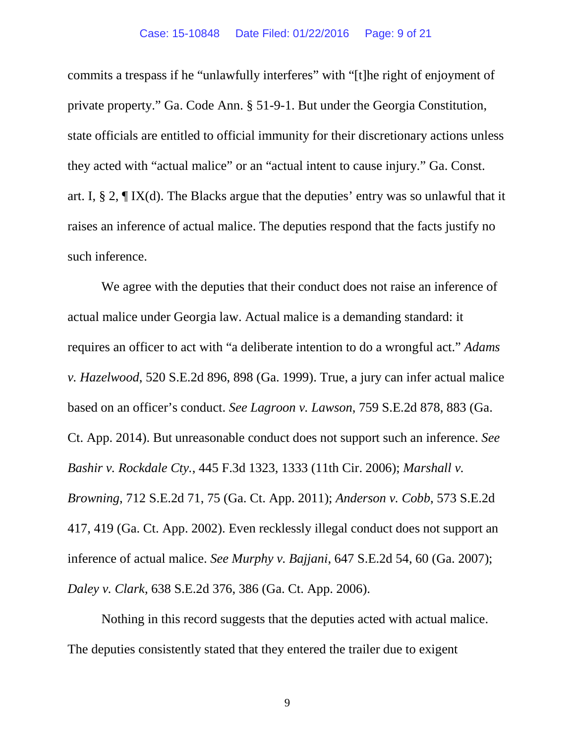commits a trespass if he "unlawfully interferes" with "[t]he right of enjoyment of private property." Ga. Code Ann. § 51-9-1. But under the Georgia Constitution, state officials are entitled to official immunity for their discretionary actions unless they acted with "actual malice" or an "actual intent to cause injury." Ga. Const. art. I, § 2, ¶ IX(d). The Blacks argue that the deputies' entry was so unlawful that it raises an inference of actual malice. The deputies respond that the facts justify no such inference.

We agree with the deputies that their conduct does not raise an inference of actual malice under Georgia law. Actual malice is a demanding standard: it requires an officer to act with "a deliberate intention to do a wrongful act." *Adams v. Hazelwood*, 520 S.E.2d 896, 898 (Ga. 1999). True, a jury can infer actual malice based on an officer's conduct. *See Lagroon v. Lawson*, 759 S.E.2d 878, 883 (Ga. Ct. App. 2014). But unreasonable conduct does not support such an inference. *See Bashir v. Rockdale Cty.*, 445 F.3d 1323, 1333 (11th Cir. 2006); *Marshall v. Browning*, 712 S.E.2d 71, 75 (Ga. Ct. App. 2011); *Anderson v. Cobb*, 573 S.E.2d 417, 419 (Ga. Ct. App. 2002). Even recklessly illegal conduct does not support an inference of actual malice. *See Murphy v. Bajjani*, 647 S.E.2d 54, 60 (Ga. 2007); *Daley v. Clark*, 638 S.E.2d 376, 386 (Ga. Ct. App. 2006).

Nothing in this record suggests that the deputies acted with actual malice. The deputies consistently stated that they entered the trailer due to exigent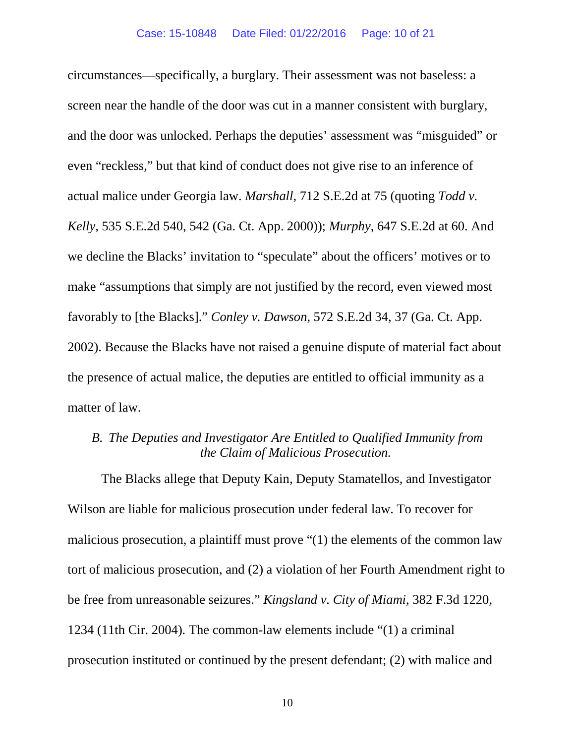circumstances—specifically, a burglary. Their assessment was not baseless: a screen near the handle of the door was cut in a manner consistent with burglary, and the door was unlocked. Perhaps the deputies' assessment was "misguided" or even "reckless," but that kind of conduct does not give rise to an inference of actual malice under Georgia law. *Marshall*, 712 S.E.2d at 75 (quoting *Todd v. Kelly*, 535 S.E.2d 540, 542 (Ga. Ct. App. 2000)); *Murphy*, 647 S.E.2d at 60. And we decline the Blacks' invitation to "speculate" about the officers' motives or to make "assumptions that simply are not justified by the record, even viewed most favorably to [the Blacks]." *Conley v. Dawson*, 572 S.E.2d 34, 37 (Ga. Ct. App. 2002). Because the Blacks have not raised a genuine dispute of material fact about the presence of actual malice, the deputies are entitled to official immunity as a matter of law.

# *B. The Deputies and Investigator Are Entitled to Qualified Immunity from the Claim of Malicious Prosecution.*

The Blacks allege that Deputy Kain, Deputy Stamatellos, and Investigator Wilson are liable for malicious prosecution under federal law. To recover for malicious prosecution, a plaintiff must prove "(1) the elements of the common law tort of malicious prosecution, and (2) a violation of her Fourth Amendment right to be free from unreasonable seizures." *Kingsland v. City of Miami*, 382 F.3d 1220, 1234 (11th Cir. 2004). The common-law elements include "(1) a criminal prosecution instituted or continued by the present defendant; (2) with malice and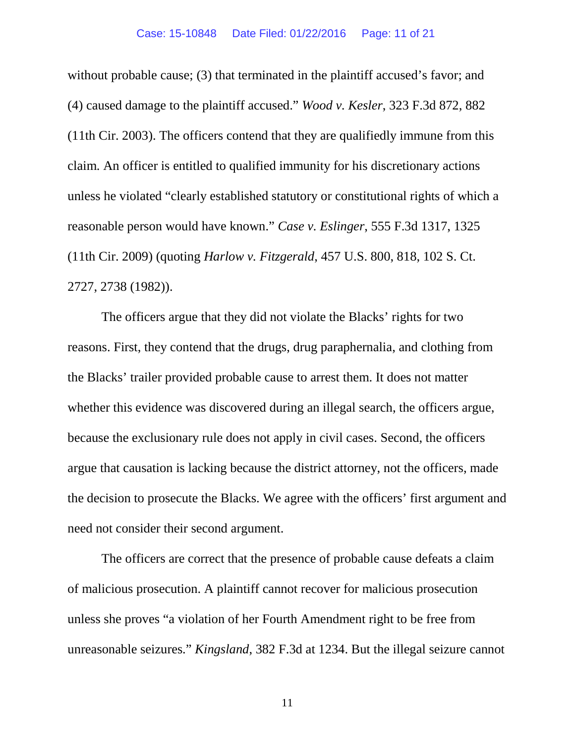without probable cause; (3) that terminated in the plaintiff accused's favor; and (4) caused damage to the plaintiff accused." *Wood v. Kesler*, 323 F.3d 872, 882 (11th Cir. 2003). The officers contend that they are qualifiedly immune from this claim. An officer is entitled to qualified immunity for his discretionary actions unless he violated "clearly established statutory or constitutional rights of which a reasonable person would have known." *Case v. Eslinger*, 555 F.3d 1317, 1325 (11th Cir. 2009) (quoting *Harlow v. Fitzgerald*, 457 U.S. 800, 818, 102 S. Ct. 2727, 2738 (1982)).

The officers argue that they did not violate the Blacks' rights for two reasons. First, they contend that the drugs, drug paraphernalia, and clothing from the Blacks' trailer provided probable cause to arrest them. It does not matter whether this evidence was discovered during an illegal search, the officers argue, because the exclusionary rule does not apply in civil cases. Second, the officers argue that causation is lacking because the district attorney, not the officers, made the decision to prosecute the Blacks. We agree with the officers' first argument and need not consider their second argument.

The officers are correct that the presence of probable cause defeats a claim of malicious prosecution. A plaintiff cannot recover for malicious prosecution unless she proves "a violation of her Fourth Amendment right to be free from unreasonable seizures." *Kingsland*, 382 F.3d at 1234. But the illegal seizure cannot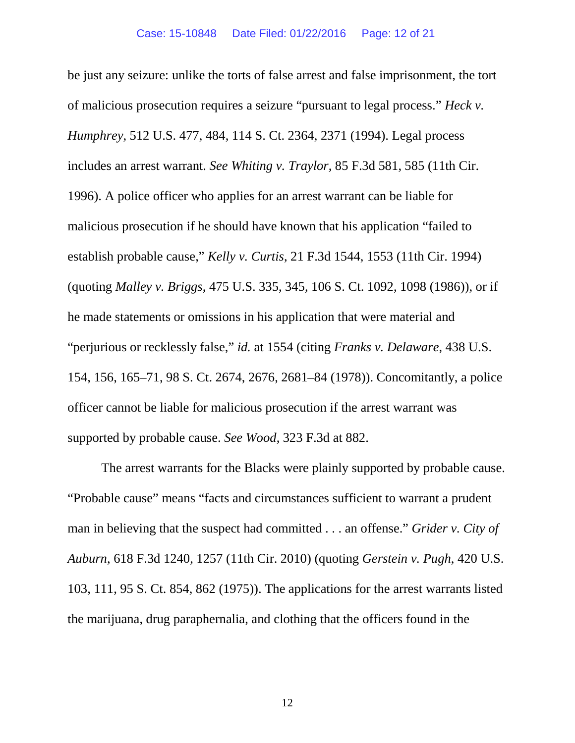be just any seizure: unlike the torts of false arrest and false imprisonment, the tort of malicious prosecution requires a seizure "pursuant to legal process." *Heck v. Humphrey*, 512 U.S. 477, 484, 114 S. Ct. 2364, 2371 (1994). Legal process includes an arrest warrant. *See Whiting v. Traylor*, 85 F.3d 581, 585 (11th Cir. 1996). A police officer who applies for an arrest warrant can be liable for malicious prosecution if he should have known that his application "failed to establish probable cause," *Kelly v. Curtis*, 21 F.3d 1544, 1553 (11th Cir. 1994) (quoting *Malley v. Briggs*, 475 U.S. 335, 345, 106 S. Ct. 1092, 1098 (1986)), or if he made statements or omissions in his application that were material and "perjurious or recklessly false," *id.* at 1554 (citing *Franks v. Delaware*, 438 U.S. 154, 156, 165–71, 98 S. Ct. 2674, 2676, 2681–84 (1978)). Concomitantly, a police officer cannot be liable for malicious prosecution if the arrest warrant was supported by probable cause. *See Wood*, 323 F.3d at 882.

The arrest warrants for the Blacks were plainly supported by probable cause. "Probable cause" means "facts and circumstances sufficient to warrant a prudent man in believing that the suspect had committed . . . an offense." *Grider v. City of Auburn*, 618 F.3d 1240, 1257 (11th Cir. 2010) (quoting *Gerstein v. Pugh*, 420 U.S. 103, 111, 95 S. Ct. 854, 862 (1975)). The applications for the arrest warrants listed the marijuana, drug paraphernalia, and clothing that the officers found in the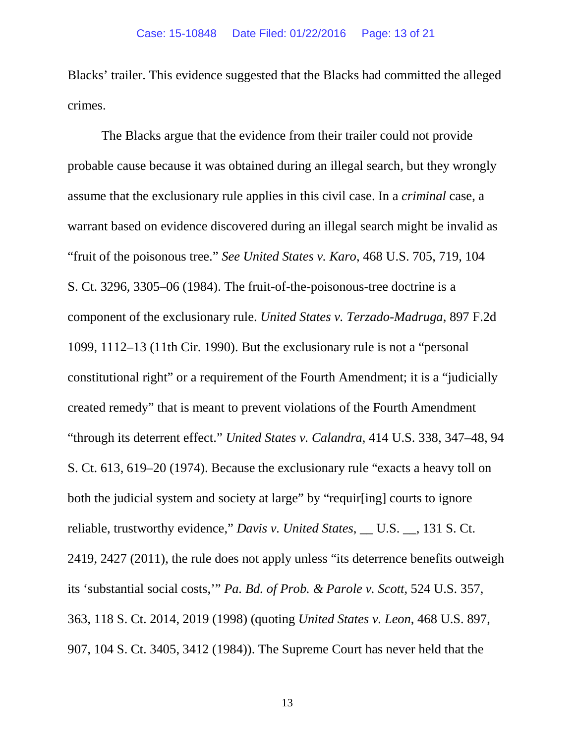Blacks' trailer. This evidence suggested that the Blacks had committed the alleged crimes.

The Blacks argue that the evidence from their trailer could not provide probable cause because it was obtained during an illegal search, but they wrongly assume that the exclusionary rule applies in this civil case. In a *criminal* case, a warrant based on evidence discovered during an illegal search might be invalid as "fruit of the poisonous tree." *See United States v. Karo*, 468 U.S. 705, 719, 104 S. Ct. 3296, 3305–06 (1984). The fruit-of-the-poisonous-tree doctrine is a component of the exclusionary rule. *United States v. Terzado-Madruga*, 897 F.2d 1099, 1112–13 (11th Cir. 1990). But the exclusionary rule is not a "personal constitutional right" or a requirement of the Fourth Amendment; it is a "judicially created remedy" that is meant to prevent violations of the Fourth Amendment "through its deterrent effect." *United States v. Calandra*, 414 U.S. 338, 347–48, 94 S. Ct. 613, 619–20 (1974). Because the exclusionary rule "exacts a heavy toll on both the judicial system and society at large" by "requir[ing] courts to ignore reliable, trustworthy evidence," *Davis v. United States*, U.S. , 131 S. Ct. 2419, 2427 (2011), the rule does not apply unless "its deterrence benefits outweigh its 'substantial social costs,'" *Pa. Bd. of Prob. & Parole v. Scott*, 524 U.S. 357, 363, 118 S. Ct. 2014, 2019 (1998) (quoting *United States v. Leon*, 468 U.S. 897, 907, 104 S. Ct. 3405, 3412 (1984)). The Supreme Court has never held that the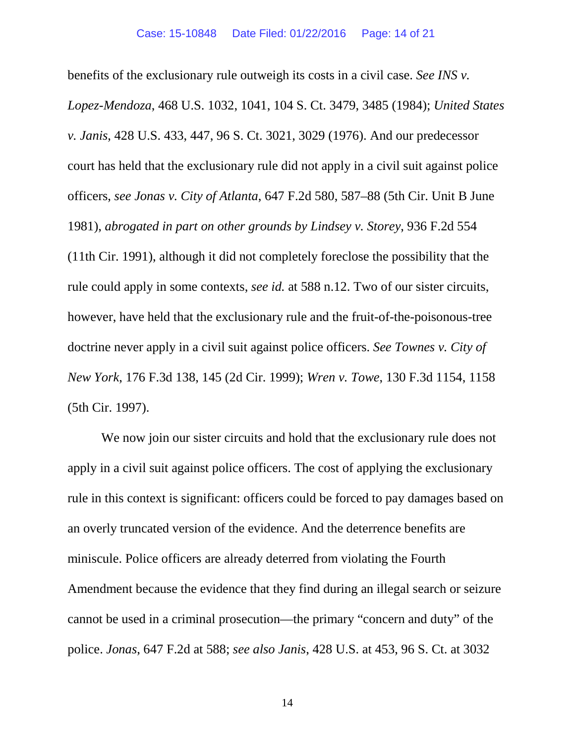benefits of the exclusionary rule outweigh its costs in a civil case. *See INS v. Lopez-Mendoza*, 468 U.S. 1032, 1041, 104 S. Ct. 3479, 3485 (1984); *United States v. Janis*, 428 U.S. 433, 447, 96 S. Ct. 3021, 3029 (1976). And our predecessor court has held that the exclusionary rule did not apply in a civil suit against police officers, *see Jonas v. City of Atlanta*, 647 F.2d 580, 587–88 (5th Cir. Unit B June 1981), *abrogated in part on other grounds by Lindsey v. Storey*, 936 F.2d 554 (11th Cir. 1991), although it did not completely foreclose the possibility that the rule could apply in some contexts, *see id.* at 588 n.12. Two of our sister circuits, however, have held that the exclusionary rule and the fruit-of-the-poisonous-tree doctrine never apply in a civil suit against police officers. *See Townes v. City of New York*, 176 F.3d 138, 145 (2d Cir. 1999); *Wren v. Towe*, 130 F.3d 1154, 1158 (5th Cir. 1997).

We now join our sister circuits and hold that the exclusionary rule does not apply in a civil suit against police officers. The cost of applying the exclusionary rule in this context is significant: officers could be forced to pay damages based on an overly truncated version of the evidence. And the deterrence benefits are miniscule. Police officers are already deterred from violating the Fourth Amendment because the evidence that they find during an illegal search or seizure cannot be used in a criminal prosecution—the primary "concern and duty" of the police. *Jonas*, 647 F.2d at 588; *see also Janis*, 428 U.S. at 453, 96 S. Ct. at 3032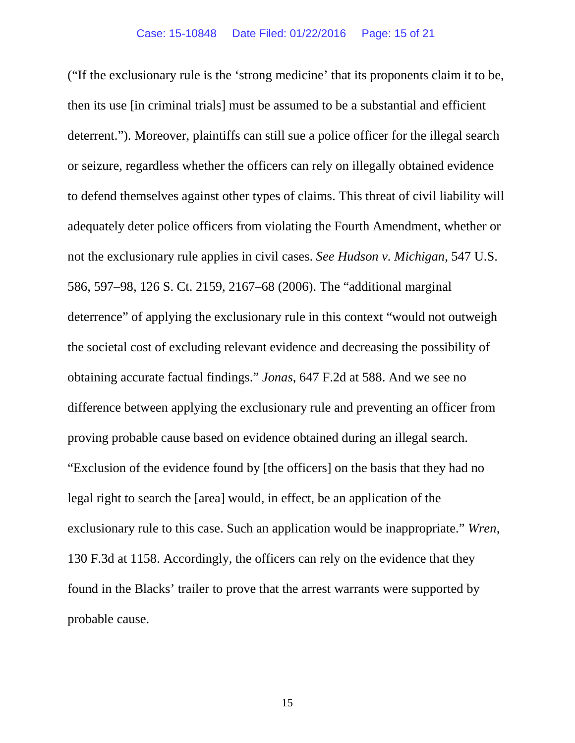("If the exclusionary rule is the 'strong medicine' that its proponents claim it to be, then its use [in criminal trials] must be assumed to be a substantial and efficient deterrent."). Moreover, plaintiffs can still sue a police officer for the illegal search or seizure, regardless whether the officers can rely on illegally obtained evidence to defend themselves against other types of claims. This threat of civil liability will adequately deter police officers from violating the Fourth Amendment, whether or not the exclusionary rule applies in civil cases. *See Hudson v. Michigan*, 547 U.S. 586, 597–98, 126 S. Ct. 2159, 2167–68 (2006). The "additional marginal deterrence" of applying the exclusionary rule in this context "would not outweigh the societal cost of excluding relevant evidence and decreasing the possibility of obtaining accurate factual findings." *Jonas*, 647 F.2d at 588. And we see no difference between applying the exclusionary rule and preventing an officer from proving probable cause based on evidence obtained during an illegal search. "Exclusion of the evidence found by [the officers] on the basis that they had no legal right to search the [area] would, in effect, be an application of the exclusionary rule to this case. Such an application would be inappropriate." *Wren*, 130 F.3d at 1158. Accordingly, the officers can rely on the evidence that they found in the Blacks' trailer to prove that the arrest warrants were supported by probable cause.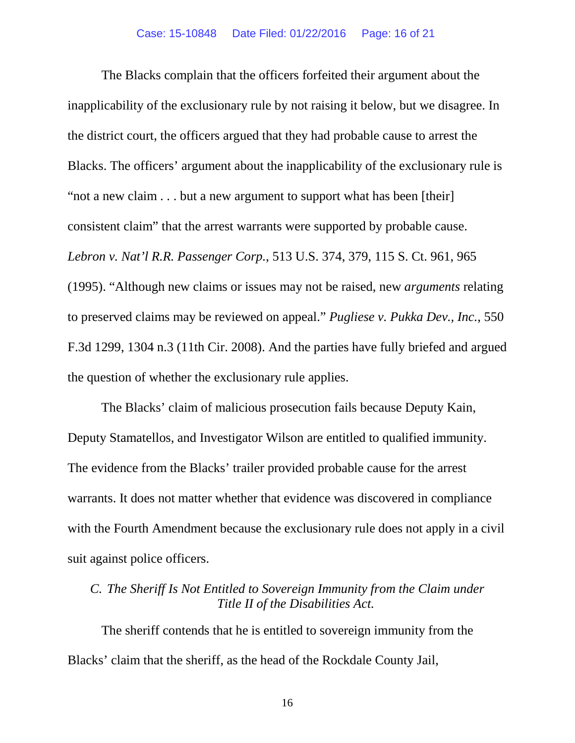The Blacks complain that the officers forfeited their argument about the inapplicability of the exclusionary rule by not raising it below, but we disagree. In the district court, the officers argued that they had probable cause to arrest the Blacks. The officers' argument about the inapplicability of the exclusionary rule is "not a new claim . . . but a new argument to support what has been [their] consistent claim" that the arrest warrants were supported by probable cause. *Lebron v. Nat'l R.R. Passenger Corp.*, 513 U.S. 374, 379, 115 S. Ct. 961, 965 (1995). "Although new claims or issues may not be raised, new *arguments* relating to preserved claims may be reviewed on appeal." *Pugliese v. Pukka Dev., Inc.*, 550 F.3d 1299, 1304 n.3 (11th Cir. 2008). And the parties have fully briefed and argued the question of whether the exclusionary rule applies.

The Blacks' claim of malicious prosecution fails because Deputy Kain, Deputy Stamatellos, and Investigator Wilson are entitled to qualified immunity. The evidence from the Blacks' trailer provided probable cause for the arrest warrants. It does not matter whether that evidence was discovered in compliance with the Fourth Amendment because the exclusionary rule does not apply in a civil suit against police officers.

# *C. The Sheriff Is Not Entitled to Sovereign Immunity from the Claim under Title II of the Disabilities Act.*

The sheriff contends that he is entitled to sovereign immunity from the Blacks' claim that the sheriff, as the head of the Rockdale County Jail,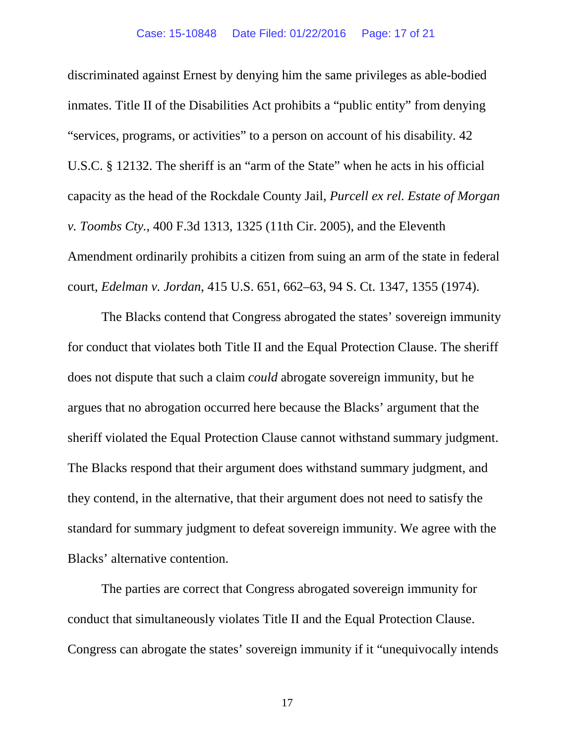discriminated against Ernest by denying him the same privileges as able-bodied inmates. Title II of the Disabilities Act prohibits a "public entity" from denying "services, programs, or activities" to a person on account of his disability. 42 U.S.C. § 12132. The sheriff is an "arm of the State" when he acts in his official capacity as the head of the Rockdale County Jail, *Purcell ex rel. Estate of Morgan v. Toombs Cty.*, 400 F.3d 1313, 1325 (11th Cir. 2005), and the Eleventh Amendment ordinarily prohibits a citizen from suing an arm of the state in federal court, *Edelman v. Jordan*, 415 U.S. 651, 662–63, 94 S. Ct. 1347, 1355 (1974).

The Blacks contend that Congress abrogated the states' sovereign immunity for conduct that violates both Title II and the Equal Protection Clause. The sheriff does not dispute that such a claim *could* abrogate sovereign immunity, but he argues that no abrogation occurred here because the Blacks' argument that the sheriff violated the Equal Protection Clause cannot withstand summary judgment. The Blacks respond that their argument does withstand summary judgment, and they contend, in the alternative, that their argument does not need to satisfy the standard for summary judgment to defeat sovereign immunity. We agree with the Blacks' alternative contention.

The parties are correct that Congress abrogated sovereign immunity for conduct that simultaneously violates Title II and the Equal Protection Clause. Congress can abrogate the states' sovereign immunity if it "unequivocally intends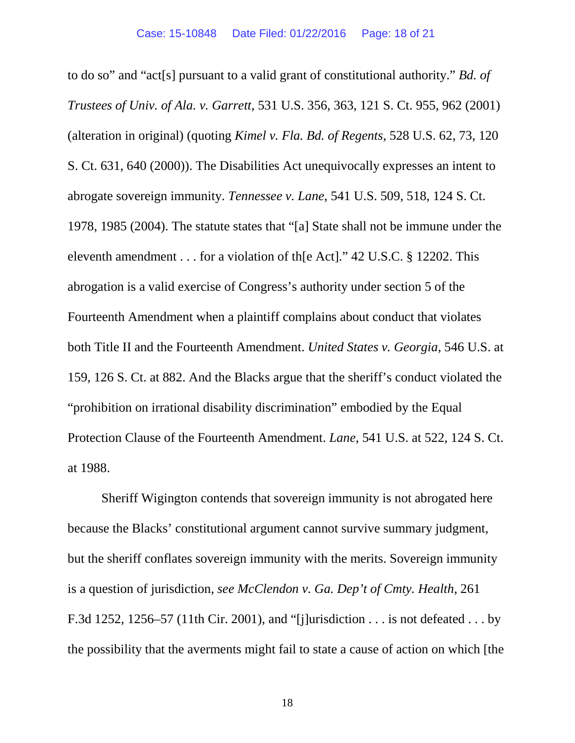to do so" and "act[s] pursuant to a valid grant of constitutional authority." *Bd. of Trustees of Univ. of Ala. v. Garrett*, 531 U.S. 356, 363, 121 S. Ct. 955, 962 (2001) (alteration in original) (quoting *Kimel v. Fla. Bd. of Regents*, 528 U.S. 62, 73, 120 S. Ct. 631, 640 (2000)). The Disabilities Act unequivocally expresses an intent to abrogate sovereign immunity. *Tennessee v. Lane*, 541 U.S. 509, 518, 124 S. Ct. 1978, 1985 (2004). The statute states that "[a] State shall not be immune under the eleventh amendment . . . for a violation of th[e Act]." 42 U.S.C. § 12202. This abrogation is a valid exercise of Congress's authority under section 5 of the Fourteenth Amendment when a plaintiff complains about conduct that violates both Title II and the Fourteenth Amendment. *United States v. Georgia*, 546 U.S. at 159, 126 S. Ct. at 882. And the Blacks argue that the sheriff's conduct violated the "prohibition on irrational disability discrimination" embodied by the Equal Protection Clause of the Fourteenth Amendment. *Lane*, 541 U.S. at 522, 124 S. Ct. at 1988.

Sheriff Wigington contends that sovereign immunity is not abrogated here because the Blacks' constitutional argument cannot survive summary judgment, but the sheriff conflates sovereign immunity with the merits. Sovereign immunity is a question of jurisdiction, *see McClendon v. Ga. Dep't of Cmty. Health*, 261 F.3d 1252, 1256–57 (11th Cir. 2001), and "[j]urisdiction . . . is not defeated . . . by the possibility that the averments might fail to state a cause of action on which [the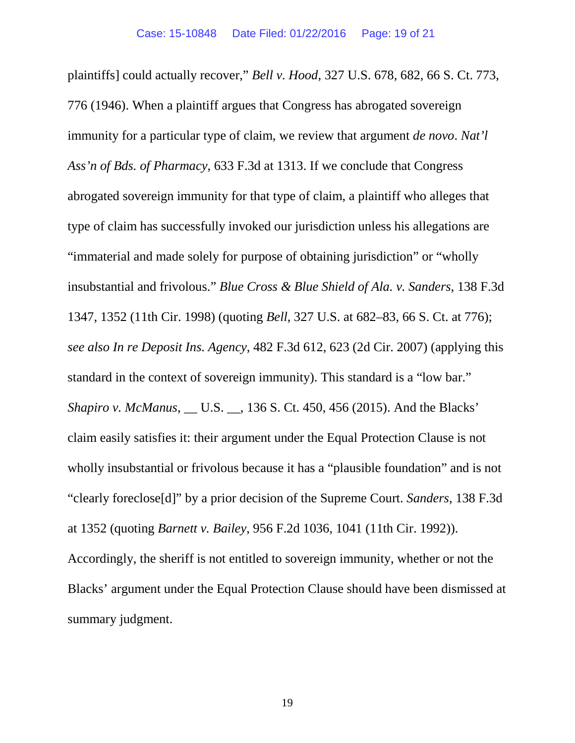plaintiffs] could actually recover," *Bell v. Hood*, 327 U.S. 678, 682, 66 S. Ct. 773, 776 (1946). When a plaintiff argues that Congress has abrogated sovereign immunity for a particular type of claim, we review that argument *de novo*. *Nat'l Ass'n of Bds. of Pharmacy*, 633 F.3d at 1313. If we conclude that Congress abrogated sovereign immunity for that type of claim, a plaintiff who alleges that type of claim has successfully invoked our jurisdiction unless his allegations are "immaterial and made solely for purpose of obtaining jurisdiction" or "wholly insubstantial and frivolous." *Blue Cross & Blue Shield of Ala. v. Sanders*, 138 F.3d 1347, 1352 (11th Cir. 1998) (quoting *Bell*, 327 U.S. at 682–83, 66 S. Ct. at 776); *see also In re Deposit Ins. Agency*, 482 F.3d 612, 623 (2d Cir. 2007) (applying this standard in the context of sovereign immunity). This standard is a "low bar." *Shapiro v. McManus*, \_\_ U.S. \_\_, 136 S. Ct. 450, 456 (2015). And the Blacks' claim easily satisfies it: their argument under the Equal Protection Clause is not wholly insubstantial or frivolous because it has a "plausible foundation" and is not "clearly foreclose[d]" by a prior decision of the Supreme Court. *Sanders*, 138 F.3d at 1352 (quoting *Barnett v. Bailey*, 956 F.2d 1036, 1041 (11th Cir. 1992)). Accordingly, the sheriff is not entitled to sovereign immunity, whether or not the Blacks' argument under the Equal Protection Clause should have been dismissed at summary judgment.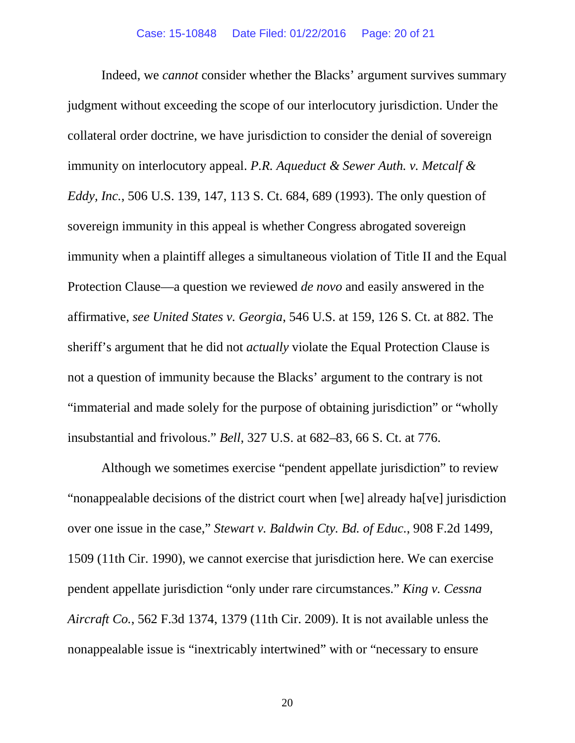Indeed, we *cannot* consider whether the Blacks' argument survives summary judgment without exceeding the scope of our interlocutory jurisdiction. Under the collateral order doctrine, we have jurisdiction to consider the denial of sovereign immunity on interlocutory appeal. *P.R. Aqueduct & Sewer Auth. v. Metcalf & Eddy, Inc.*, 506 U.S. 139, 147, 113 S. Ct. 684, 689 (1993). The only question of sovereign immunity in this appeal is whether Congress abrogated sovereign immunity when a plaintiff alleges a simultaneous violation of Title II and the Equal Protection Clause—a question we reviewed *de novo* and easily answered in the affirmative, *see United States v. Georgia*, 546 U.S. at 159, 126 S. Ct. at 882. The sheriff's argument that he did not *actually* violate the Equal Protection Clause is not a question of immunity because the Blacks' argument to the contrary is not "immaterial and made solely for the purpose of obtaining jurisdiction" or "wholly insubstantial and frivolous." *Bell*, 327 U.S. at 682–83, 66 S. Ct. at 776.

Although we sometimes exercise "pendent appellate jurisdiction" to review "nonappealable decisions of the district court when [we] already ha[ve] jurisdiction over one issue in the case," *Stewart v. Baldwin Cty. Bd. of Educ.*, 908 F.2d 1499, 1509 (11th Cir. 1990), we cannot exercise that jurisdiction here. We can exercise pendent appellate jurisdiction "only under rare circumstances." *King v. Cessna Aircraft Co.*, 562 F.3d 1374, 1379 (11th Cir. 2009). It is not available unless the nonappealable issue is "inextricably intertwined" with or "necessary to ensure